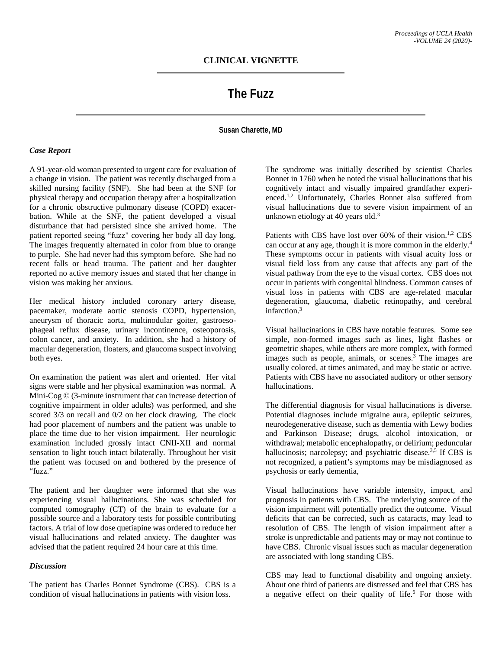# **The Fuzz**

## **Susan Charette, MD**

### *Case Report*

A 91-year-old woman presented to urgent care for evaluation of a change in vision. The patient was recently discharged from a skilled nursing facility (SNF). She had been at the SNF for physical therapy and occupation therapy after a hospitalization for a chronic obstructive pulmonary disease (COPD) exacerbation. While at the SNF, the patient developed a visual disturbance that had persisted since she arrived home. The patient reported seeing "fuzz" covering her body all day long. The images frequently alternated in color from blue to orange to purple. She had never had this symptom before. She had no recent falls or head trauma. The patient and her daughter reported no active memory issues and stated that her change in vision was making her anxious.

Her medical history included coronary artery disease, pacemaker, moderate aortic stenosis COPD, hypertension, aneurysm of thoracic aorta, multinodular goiter, gastroesophageal reflux disease, urinary incontinence, osteoporosis, colon cancer, and anxiety. In addition, she had a history of macular degeneration, floaters, and glaucoma suspect involving both eyes.

On examination the patient was alert and oriented. Her vital signs were stable and her physical examination was normal. A Mini-Cog © (3-minute instrument that can increase detection of cognitive impairment in older adults) was performed, and she scored 3/3 on recall and 0/2 on her clock drawing. The clock had poor placement of numbers and the patient was unable to place the time due to her vision impairment. Her neurologic examination included grossly intact CNII-XII and normal sensation to light touch intact bilaterally. Throughout her visit the patient was focused on and bothered by the presence of "fuzz."

The patient and her daughter were informed that she was experiencing visual hallucinations. She was scheduled for computed tomography (CT) of the brain to evaluate for a possible source and a laboratory tests for possible contributing factors. A trial of low dose quetiapine was ordered to reduce her visual hallucinations and related anxiety. The daughter was advised that the patient required 24 hour care at this time.

### *Discussion*

The patient has Charles Bonnet Syndrome (CBS). CBS is a condition of visual hallucinations in patients with vision loss.

The syndrome was initially described by scientist Charles Bonnet in 1760 when he noted the visual hallucinations that his cognitively intact and visually impaired grandfather experienced.<sup>1,2</sup> Unfortunately, Charles Bonnet also suffered from visual hallucinations due to severe vision impairment of an unknown etiology at 40 years old.<sup>3</sup>

Patients with CBS have lost over 60% of their vision.<sup>1,2</sup> CBS can occur at any age, though it is more common in the elderly.4 These symptoms occur in patients with visual acuity loss or visual field loss from any cause that affects any part of the visual pathway from the eye to the visual cortex. CBS does not occur in patients with congenital blindness. Common causes of visual loss in patients with CBS are age-related macular degeneration, glaucoma, diabetic retinopathy, and cerebral infarction. 3

Visual hallucinations in CBS have notable features. Some see simple, non-formed images such as lines, light flashes or geometric shapes, while others are more complex, with formed images such as people, animals, or scenes.<sup>3</sup> The images are usually colored, at times animated, and may be static or active. Patients with CBS have no associated auditory or other sensory hallucinations.

The differential diagnosis for visual hallucinations is diverse. Potential diagnoses include migraine aura, epileptic seizures, neurodegenerative disease, such as dementia with Lewy bodies and Parkinson Disease; drugs, alcohol intoxication, or withdrawal; metabolic encephalopathy, or delirium; peduncular hallucinosis; narcolepsy; and psychiatric disease.<sup>3,5</sup> If CBS is not recognized, a patient's symptoms may be misdiagnosed as psychosis or early dementia,

Visual hallucinations have variable intensity, impact, and prognosis in patients with CBS. The underlying source of the vision impairment will potentially predict the outcome. Visual deficits that can be corrected, such as cataracts, may lead to resolution of CBS. The length of vision impairment after a stroke is unpredictable and patients may or may not continue to have CBS. Chronic visual issues such as macular degeneration are associated with long standing CBS.

CBS may lead to functional disability and ongoing anxiety. About one third of patients are distressed and feel that CBS has a negative effect on their quality of life.<sup>6</sup> For those with